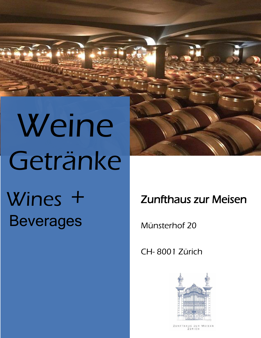# Weine Getränke Wines + Beverages



# Zunfthaus zur Meisen

Münsterhof 20

CH- 8001 Zürich



ZUNFTHAUS ZUR MEISEN ZÜRICH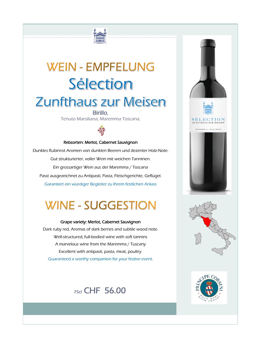# **WEIN - EMPFELUNG** Sélection **Zunfthaus zur Meisen**

#### Birillo, Tenuto Marsiliana, Maremma Toscana,



#### Rebsorten: Merlot, Cabernet Sauvignon

Dunkles Rubinrot Aromen von dunklen Beeren und dezenter Holz-Note. Gut strukturierter, voller Wein mit weichen Tanninen. Ein grossartiger Wein aus der Maremma / Toscana Passt ausgezeichnet zu Antipasti, Pasta, Fleischgerichte, Geflügel. Garantiert ein würdiger Begleiter zu Ihrem festlichen Anlass

# **WINE - SUGGESTION**

Grape variety: Merlot, Cabernet Sauvignon Dark ruby red, Aromas of dark berries and subtile wood note. Well-structured, full-bodied wine with soft tannins A marvelous wine from the Maremma / Tuscany Excellent with antipasti, pasta, meat, poultry. Guaranteed a worthy companion for your festive event.







# 75cl CHF 56.00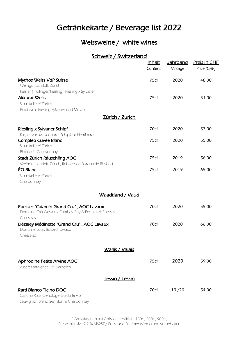# Getränkekarte / Beverage list 2022

### Weissweine / white wines

#### Schweiz / Switzerland

|                                                                                                                                                 | <b>Inhalt</b><br>Content | <u>Jahrgang</u><br>Vintage | Preis in CHF<br>Price (CHF) |
|-------------------------------------------------------------------------------------------------------------------------------------------------|--------------------------|----------------------------|-----------------------------|
| <b>Mythos Weiss VdP Suisse</b><br>Weingut Landolt, Zürich                                                                                       | 75cl                     | 2020                       | 48.00                       |
| Kerner (Trollinger/Riesling), Riesling x Sylvaner<br><b>Akkurat Weiss</b><br>Staatskellerei Zürich<br>Pinot Noir, Riesling-Sylvaner und Muscat. | 75cl                     | 2020                       | 51.00                       |
| <u>Zürich / Zurich</u>                                                                                                                          |                          |                            |                             |
| <b>Riesling x Sylvaner Schipf</b>                                                                                                               | 70cl                     | 2020                       | 53.00                       |
| Kaspar von Meyenburg, Schipfgut Herrliberg<br>Compleo Cuvée Blanc<br>Staatskellerei Zürich<br>Pinot gris, Chardonnay                            | 75cl                     | 2020                       | 55.00                       |
| Stadt Zürich Räuschling AOC                                                                                                                     | 75cl                     | 2019                       | 56.00                       |
| Weingut Landolt, Zürich, Rebbergen Burghalde Riesbach<br>ÉO Blanc<br>Staatskellerei Zürich<br>Chardonnay                                        | 75cl                     | 2019                       | 65.00                       |
| Waadtland / Vaud                                                                                                                                |                          |                            |                             |
| Epesses "Calamin Grand Cru", AOC Lavaux<br>Domaine Crêt-Dessous, Familles Gay & Pestalozzi, Epesses<br>Chasselas                                | 70cl                     | 2020                       | 55.00                       |
| Dézaley Médinette "Grand Cru", AOC Lavaux<br>Domaine Louis Bovard, Lavaux<br>Chasselas                                                          | 70cl                     | 2020                       | 66.00                       |
| <u> Wallis / Valais</u>                                                                                                                         |                          |                            |                             |
| <b>Aphrodine Petite Arvine AOC</b><br>Albert Mathier et Fils, Salgesch                                                                          | 75cl                     | 2020                       | 59.00                       |
| <u>Tessin / Tessin</u>                                                                                                                          |                          |                            |                             |
| Ratti Bianco Ticino DOC<br>Cantina Ratti, Oenologe Guido Brivio<br>Sauvignon blanc, Semillon & Chardonnay                                       | 70cl                     | 19/20                      | 54.00                       |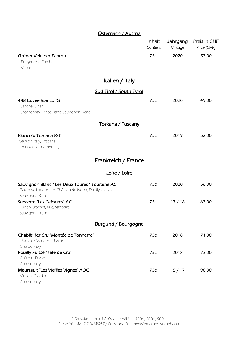#### Österreich / Austria

|                                                                                                                                | <u>Inhalt</u><br>Content | <u>Jahrgang</u><br>Vintage | <b>Preis in CHF</b><br>Price (CHF) |
|--------------------------------------------------------------------------------------------------------------------------------|--------------------------|----------------------------|------------------------------------|
| Grüner Veltliner Zantho<br>Burgenland Zantho<br>Vegan                                                                          | 75cl                     | 2020                       | 53.00                              |
| <u>Italien / Italy</u>                                                                                                         |                          |                            |                                    |
| Süd Tirol / South Tyrol                                                                                                        |                          |                            |                                    |
| 448 Cuvée Bianco IGT<br>Cantina Girlan<br>Chardonnay, Pinot Blanc, Sauvignon Blanc                                             | 75cl                     | 2020                       | 49.00                              |
| Toskana / Tuscany                                                                                                              |                          |                            |                                    |
| <b>Biancolo Toscana IGT</b><br>Gagliole Italy, Toscana<br>Trebbiano, Chardonnay                                                | 75cl                     | 2019                       | 52.00                              |
| <b>Frankreich / France</b>                                                                                                     |                          |                            |                                    |
| Loire / Loire                                                                                                                  |                          |                            |                                    |
| Sauvignon Blanc " Les Deux Toures " Touraine AC<br>Baron de Ladoucette, Château du Nozet, Pouilly-sur-Loire<br>Sauvignon Blanc | 75cl                     | 2020                       | 56.00                              |
| <b>Sancerre "Les Calcaires" AC</b><br>Lucien Crochet, Bué, Sancerre<br>Sauvignon Blanc                                         | 75cl                     | 17/18                      | 63.00                              |
| <b>Burgund / Bourgogne</b>                                                                                                     |                          |                            |                                    |
| Chablis 1 er Cru "Montée de Tonnerre"<br>Domaine Vocoret, Chablis                                                              | 75cl                     | 2018                       | 71.00                              |
| Chardonnay<br>Pouilly Fuissé "Tête de Cru"<br>Château Fuissé                                                                   | 75cl                     | 2018                       | 73.00                              |
| Chardonnay<br>Meursault "Les Vieilles Vignes" AOC<br>Vincent Giardin<br>Chardonnay                                             | 75cl                     | 15/17                      | 90.00                              |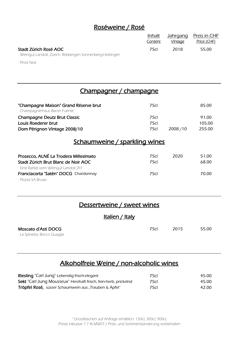# Roséweine / Rosé

|                                                         | <u>Inhalt</u> |         | <u>Jahrgang Preis in </u> CHF |
|---------------------------------------------------------|---------------|---------|-------------------------------|
|                                                         | Content       | Vintage | Price (CHF)                   |
| Stadt Zürich Rosé AOC                                   | 75cI          | 2018    | 55.00                         |
| Weingut Landolt, Zürich. Rebbergen Sonnenberg-Hottingen |               |         |                               |

Pinot Noir

# Champagner / champagne

| "Champagne Maison" Grand Réserve brut<br>Champagnerhaus Baron Fuente.                                               | 75cl         |         | 85.00           |
|---------------------------------------------------------------------------------------------------------------------|--------------|---------|-----------------|
| <b>Champagne Deutz Brut Classic</b><br>Louis Roederer brut                                                          | 75cl<br>75cl |         | 91.00<br>105.00 |
| Dom Pérignon Vintage 2008/10<br><u>Schaumweine / sparkling wines</u>                                                | 75cl         | 2008/10 | 255.00          |
| Prosecco, ALNÉ La Trodera Millesimato<br>Stadt Zürich Brut Blanc de Noir AOC<br>Eine Rarität vom Weingut Landolt ZH | 75cl<br>75cl | 2020    | 51.00<br>68.00  |
| Franciacorta "Satèn" DOCG Chardonnay                                                                                | 75cl         |         | 70.00           |

Plozza SA Brusio

# Dessertweine / sweet wines

Italien / Italy

| Moscato d'Asti DOCG         | 75cL | - 2015 | 55.00 |
|-----------------------------|------|--------|-------|
| La Spinetta, Bricco Quaglia |      |        |       |

# Alkoholfreie Weine / non-alcoholic wines

| <b>Riesling</b> "Carl Jung" Lebendig frisch-elegant             | 75cl | 45.00 |
|-----------------------------------------------------------------|------|-------|
| Sekt "Carl Jung Mousseux" Herzhaft frisch, fein-herb, prickelnd | 75cl | 45.00 |
| Tröpfel Rosé, süsser Schaumwein aus "Trauben & Äpfel"           | 75cl | 42.00 |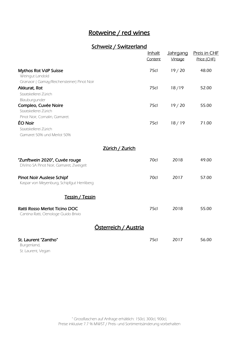## Rotweine / red wines

# Schweiz / Switzerland

|                                                                                                  | <b>Inhalt</b><br>Content | <b>Jahrgang</b><br>Vintage | <b>Preis in CHF</b><br>Price (CHF) |
|--------------------------------------------------------------------------------------------------|--------------------------|----------------------------|------------------------------------|
| <b>Mythos Rot VdP Suisse</b><br>Weingut Landold                                                  | 75cl                     | 19/20                      | 48.00                              |
| Granaoir (Gamay/Reichensteiner) Pinot Noir<br>Akkurat, Rot<br>Staatskellerei Zürich              | 75cl                     | 18/19                      | 52.00                              |
| Blauburgunder<br>Compleo, Cuvée Noire<br>Staatskellerei Zürich<br>Pinot Noir, Cornalin, Gamaret. | 75cl                     | 19/20                      | 55.00                              |
| ÉO Noir<br>Staatskellerei Zürich<br>Gamaret 50% und Merlot 50%                                   | 75cl                     | 18/19                      | 71.00                              |
| <u>Zürich / Zurich</u>                                                                           |                          |                            |                                    |
| "Zunftwein 2020", Cuvée rouge<br>DiVino SA Pinot Noir, Gamaret, Zweigelt                         | 70cl                     | 2018                       | 49.00                              |
| <b>Pinot Noir Auslese Schipf</b><br>Kaspar von Meyenburg, Schipfgut Herrliberg                   | 70cl                     | 2017                       | 57.00                              |
| Tessin / Tessin                                                                                  |                          |                            |                                    |
| Ratti Rosso Merlot Ticino DOC<br>Cantina Ratti, Oenologe Guido Brivio                            | <b>75cl</b>              | 2018                       | 55.00                              |
| <u> Österreich / Austria</u>                                                                     |                          |                            |                                    |
| St. Laurent "Zantho"<br>Burgenland,<br>St. Laurent, Vegan                                        | 75cl                     | 2017                       | 56.00                              |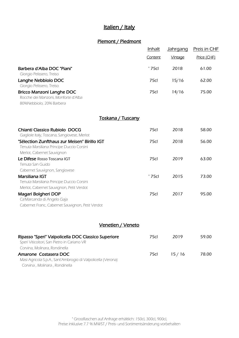#### Italien / Italy

#### Piemont / Piedmont

|                                                                                                         | <b>Inhalt</b>  | <u>Jahrgang</u> | <u>Preis in CHF</u> |
|---------------------------------------------------------------------------------------------------------|----------------|-----------------|---------------------|
|                                                                                                         | Content        | Vintage         | Price (CHF)         |
| Barbera d'Alba DOC "Piani"                                                                              | $\degree$ 75cl | 2018            | 61.00               |
| Giorgio Pelissero, Treiso                                                                               |                |                 |                     |
| Langhe Nebbiolo DOC<br>Giorgio Pelissero, Treiso                                                        | 75cl           | 15/16           | 62.00               |
| <b>Bricco Manzoni Langhe DOC</b><br>Rocche dei Manzoni, Monforte d'Alba<br>80%Nebbiolo, 20% Barbera     | 75cl           | 14/16           | 75.00               |
| <u> Toskana / Tuscany</u>                                                                               |                |                 |                     |
| Chianti Classico Rubiolo DOCG                                                                           | 75cl           | 2018            | 58.00               |
| Gagliole Italy, Toscana, Sangiovese, Merlot                                                             |                |                 |                     |
| "Sélection Zunfthaus zur Meisen" Birillo IGT<br>Tenuta Marsiliana Principe Duccio Corsini               | 75cl           | 2018            | 56.00               |
| Merlot, Cabernet Sauvignon                                                                              |                |                 |                     |
| Le Difese Rosso Toscana IGT<br>Tenuta San Guido                                                         | 75cl           | 2019            | 63.00               |
| Cabernet Sauvignon, Sangiovese                                                                          |                |                 |                     |
| Marsiliana IGT<br>Tenuta Marsiliana Principe Duccio Corsini<br>Merlot, Cabernet Sauvignon, Petit Verdot | $\degree$ 75cl | 2015            | 73.00               |
| Magari Bolgheri DOP                                                                                     | 75cl           | 2017            | 95.00               |
| Ca'Marcanda di Angelo Gaja                                                                              |                |                 |                     |
| Cabernet Franc, Cabernet Sauvignon, Petit Verdot                                                        |                |                 |                     |
| Venetien / Veneto                                                                                       |                |                 |                     |
| Ripasso "Speri" Valpolicella DOC Classico Superiore<br>Speri Viticoltori, San Pietro in Cariano VR      | 75cl           | 2019            | 59.00               |
| Corvina, Molinara, Rondinella                                                                           |                |                 |                     |
| Amarone Costasera DOC<br>Masi Agricola S.p.A., Sant'Ambrogio di Valpolicella (Verona)                   | 75cl           | 15/16           | 78.00               |

Corvina , Molinara , Rondinella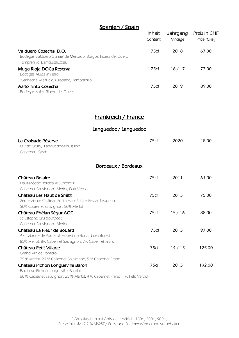## Spanien / Spain

| Spanien / Spain                                                                                           | Inhalt<br>Content | <u>Jahrgang</u><br><b>Vintage</b> | <b>Preis in CHF</b><br>Price (CHF) |
|-----------------------------------------------------------------------------------------------------------|-------------------|-----------------------------------|------------------------------------|
| Valduero Cosecha D.O.<br>Bodegas Valduero, Gumiel de Mercado, Burgos, Ribera del Duero                    | $\degree$ 75cl    | 2018                              | 67.00                              |
| Tempranillo. Barriqueausbau<br>Muga Rioja DOCa Reserva<br>Bodegas Muga in Haro                            | $\degree$ 75cl    | 16/17                             | 73.00                              |
| Garnacha, Mazuelo, Graciano, Tempranillo<br><b>Aalto Tinto Cosecha</b><br>Bodegas Aalto, Ribero del Duero | $^{\circ}$ 75cl   | 2019                              | 89.00                              |

#### Frankreich / France

Languedoc / Languedoc

| La Croisade Réserve<br>U.P de Cruzy, Languedoc-Roussillon<br>Cabernet - Syrah                                                              | 75cl             | 2020  | 48.00  |
|--------------------------------------------------------------------------------------------------------------------------------------------|------------------|-------|--------|
| <u>Bordeaux / Bordeaux</u>                                                                                                                 |                  |       |        |
| Château Bolaire<br>Haut-Médoc Bordeaux Supérieur<br>Cabernet Sauvignon, Merlot, Petit Verdot                                               | 75cl             | 2011  | 61.00  |
| Château Les Haut de Smith<br>2eme Vin de Château Smith Haut Lafitte, Pessac-Léognan<br>50% Cabernet Sauvignon, 50% Merlot                  | 75 <sub>cl</sub> | 2015  | 75.00  |
| Château Phélan-Ségur AOC<br>St. Estephe Cru bourgeois<br>Cabernet Sauvignon, Merlot                                                        | 75cl             | 15/16 | 88.00  |
| Château La Fleur de Boüard<br>A.C.Lalande de Pomerol. Hubert du Boüard de laforest<br>85% Merlot, 8% Cabernet Sauvignon, 7% Cabernet Franc | ° 75cl           | 2015  | 97.00  |
| Château Petit Village<br>Grand Vin de Pomerol<br>75 % Merlot, 20 % Cabernet Sauvignon, 5 % Cabernet Franc,                                 | 75cl             | 14/15 | 125.00 |
| Château Pichon Longueville Baron<br>Baron de Pichon-Longueville, Pauillac                                                                  | 75cl             | 2015  | 192.00 |

60 % Cabernet Sauvignon, 35 % Merlot, 4 % Cabernet Franc 1 % Petit Verdot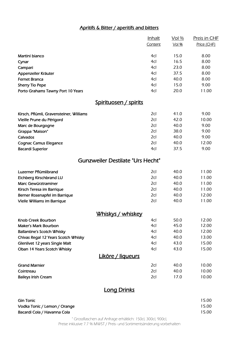#### Apritifs & Bitter / aperitifs and bitters

|                                          | <u>Inhalt</u> | <u>Vol %</u> | <u>Preis in CHF</u> |
|------------------------------------------|---------------|--------------|---------------------|
|                                          | Content       | $Vol$ %      | Price (CHF)         |
| Martini bianco                           | 4cl           | 15.0         | 8.00                |
| Cynar                                    | 4cl           | 16.5         | 8.00                |
| Campari                                  | 4cl           | 23.0         | 8.00                |
| Appenzeller Kräuter                      | 4cl           | 37.5         | 8.00                |
| <b>Fernet Branca</b>                     | 4cl           | 40.0         | 8.00                |
| <b>Sherry Tio Pepe</b>                   | 4cl           | 15.0         | 9.00                |
| Porto Grahams Tawny Port 10 Years        | 4cl           | 20.0         | 11.00               |
| <u>Spirituosen / spirits</u>             |               |              |                     |
| Kirsch, Pflümli, Gravensteiner, Williams | 2cl           | 41.0         | 9.00                |
| Vieille Prune du Périgord                | 2cl           | 42.0         | 10.00               |
| Marc de Bourgogne                        | 2cl           | 40.0         | 9.00                |
| Grappa "Maison"                          | 2cl           | 38.0         | 9.00                |
| Calvados                                 | 2cl           | 40.0         | 9.00                |
| <b>Cognac Camus Elegance</b>             | 2cl           | 40.0         | 12.00               |
| <b>Bacardi Superior</b>                  | 4cl           | 37.5         | 9.00                |
| <b>Gunzweiler Destilate "Urs Hecht"</b>  |               |              |                     |
| Luzerner Pflümlibrand                    | 2cl           | 40.0         | 11.00               |
| <b>Eichberg Kirschbrand LU</b>           | 2cl           | 40.0         | 11.00               |
| Marc Gewürztraminer                      | 2cl           | 40.0         | 11.00               |
| Kirsch Teresa im Barrique                | 2cl           | 40.0         | 11.00               |
| Berner Rosenapfel im Barrique            | 2cl           | 40.0         | 12.00               |
| Vielle Williams im Barrique              | 2cl           | 40.0         | 11.00               |
| Whiskys / whiskey                        |               |              |                     |
| Knob Creek Bourbon                       | 4cl           | 50.0         | 12.00               |
| <b>Maker's Mark Bourbon</b>              | 4cl           | 45.0         | 12.00               |
| <b>Ballantine's Scotch Whisky</b>        | 4cl           | 40.0         | 12.00               |
| Chivas Regal 12 Years Scotch Whisky      | 4cl           | 40.0         | 13.00               |
| Glenlivet 12 years Single Malt           | 4cl           | 43.0         | 15.00               |
| Oban 14 Years Scotch Whisky              | 4cl           | 43.0         | 15.00               |
| Liköre / liqueurs                        |               |              |                     |
| <b>Grand Marnier</b>                     | 2cl           | 40.0         | 10.00               |
| Cointreau                                | 2cl           | 40.0         | 10.00               |
| <b>Baileys Irish Cream</b>               | 2cl           | 17.0         | 10.00               |
|                                          | - - Deighe    |              |                     |

#### **Long Drinks**

| Gin Tonic                    | 15.00 |
|------------------------------|-------|
| Vodka Tonic / Lemon / Orange | 15.00 |
| Bacardi Cola / Havanna Cola  | 15.00 |

° Grossflaschen auf Anfrage erhältlich: 150cl, 300cl, 900cl, Preise inklusive 7.7 % MWST / Preis- und Sortimentsänderung vorbehalten